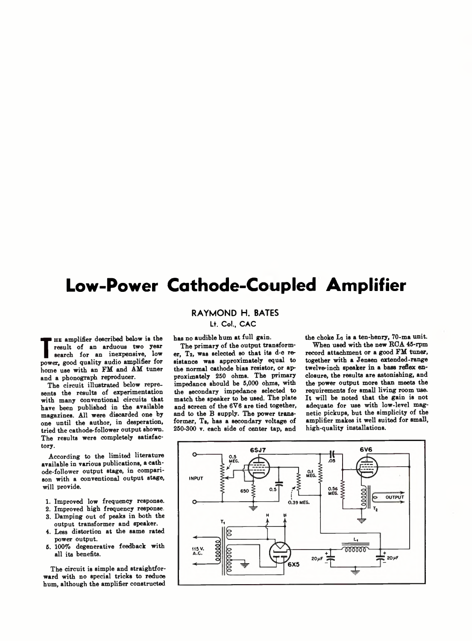## **Low-Power Cathode-Coupled Amplifier**

## **RAYMOND H. BATES**

Lt. Col., CAC

has no audible hum at full gain.

The primary of the output transformer, T2, was selected so that its d-c resistance was approximately equal to the normal cathode bias resistor, or approximately 250 ohms. The primary impedance should be 5,000 ohms, with the secondary impedance selected to match the speaker to be used. The plate and screen of the 6Y6 are tied together, and to the B supply. The power transformer, Ts, has a secondary voltage of 250-300 v. each side of center tap, and the choke Li is a ten-henry, 70-ma unit.

When used with the new ROA 45-rpm record attachment or a good FM tuner, together with a Jensen extended-range twelve-inch speaker in a bass reflex enclosure, the results are astonishing, and the power output more than meets the requirements for small living room use. It will be noted that the gain is not adequate for use with low-level magnetic pickups, but the simplicity of the amplifier makes it well suited for small, high-quality installations.



**T** power, good quality audio amplifier for he amplifier described below is the result of an arduous two year search for an inexpensive, low home use with an FM and AM tuner and a phonograph reproducer.

The circuit illustrated below represents the results of experimentation with many conventional circuits that have been published in the available magazines. All were discarded one by one until the author, in desperation, tried the cathode-follower output shown. The results were completely satisfactory.

According to the limited literature available in various publications, a cathode-follower output stage, in comparison with a conventional output stage, will provide.

- 1. Improved low frequency response.
- 2. Improved high frequency response,
- 3. Damping out of peaks in both the output transformer and speaker.
- 4. Less distortion at the same rated power output.
- 5. 100% degenerative feedback with all its benefits.

The circuit is simple and straightforward with no special tricks to reduce hum, although the amplifier constructed